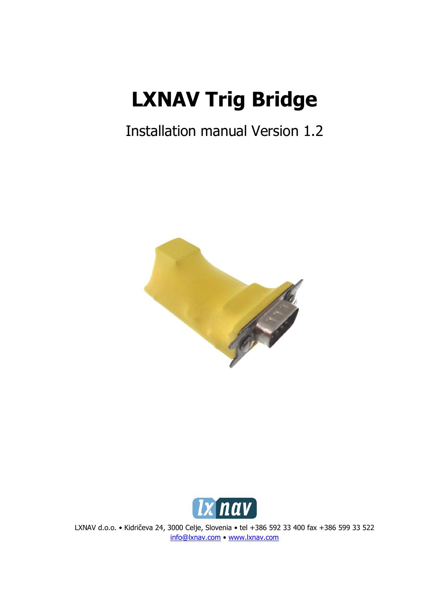# **LXNAV Trig Bridge**

## Installation manual Version 1.2





LXNAV d.o.o. • Kidričeva 24, 3000 Celje, Slovenia • tel +386 592 33 400 fax +386 599 33 522 [info@lxnav.com](mailto:support@lxnavigation.si) • [www.lxnav.com](http://www.lxnav.com/)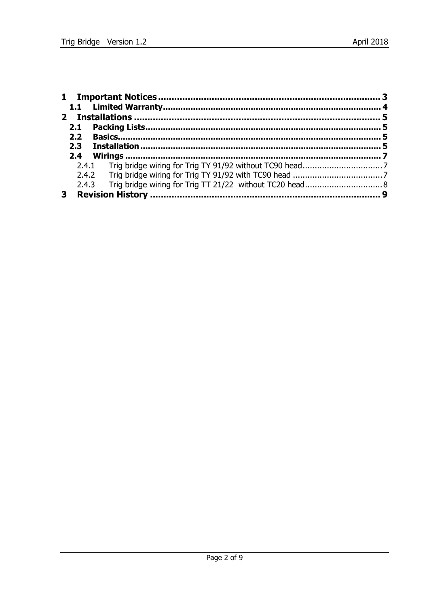|  | 2.1              |  |  |  |  |  |  |
|--|------------------|--|--|--|--|--|--|
|  | 2.2 <sub>2</sub> |  |  |  |  |  |  |
|  | 2.3              |  |  |  |  |  |  |
|  | 2.4              |  |  |  |  |  |  |
|  |                  |  |  |  |  |  |  |
|  |                  |  |  |  |  |  |  |
|  |                  |  |  |  |  |  |  |
|  |                  |  |  |  |  |  |  |
|  |                  |  |  |  |  |  |  |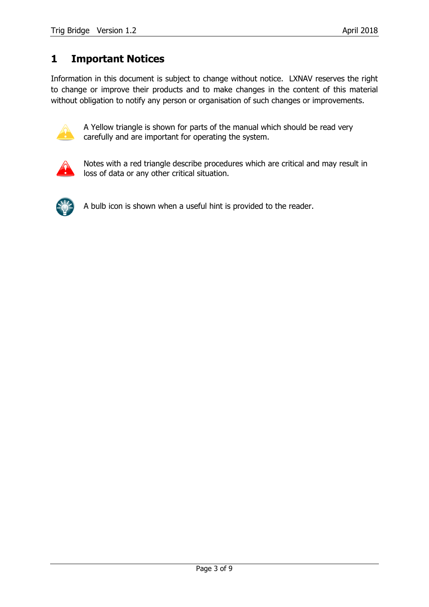#### <span id="page-2-0"></span>**1 Important Notices**

Information in this document is subject to change without notice. LXNAV reserves the right to change or improve their products and to make changes in the content of this material without obligation to notify any person or organisation of such changes or improvements.



A Yellow triangle is shown for parts of the manual which should be read very carefully and are important for operating the system.



Notes with a red triangle describe procedures which are critical and may result in loss of data or any other critical situation.



A bulb icon is shown when a useful hint is provided to the reader.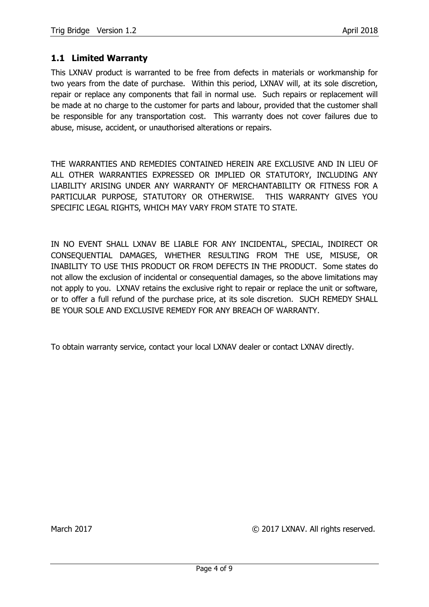#### <span id="page-3-0"></span>**1.1 Limited Warranty**

This LXNAV product is warranted to be free from defects in materials or workmanship for two years from the date of purchase. Within this period, LXNAV will, at its sole discretion, repair or replace any components that fail in normal use. Such repairs or replacement will be made at no charge to the customer for parts and labour, provided that the customer shall be responsible for any transportation cost. This warranty does not cover failures due to abuse, misuse, accident, or unauthorised alterations or repairs.

THE WARRANTIES AND REMEDIES CONTAINED HEREIN ARE EXCLUSIVE AND IN LIEU OF ALL OTHER WARRANTIES EXPRESSED OR IMPLIED OR STATUTORY, INCLUDING ANY LIABILITY ARISING UNDER ANY WARRANTY OF MERCHANTABILITY OR FITNESS FOR A PARTICULAR PURPOSE, STATUTORY OR OTHERWISE. THIS WARRANTY GIVES YOU SPECIFIC LEGAL RIGHTS, WHICH MAY VARY FROM STATE TO STATE.

IN NO EVENT SHALL LXNAV BE LIABLE FOR ANY INCIDENTAL, SPECIAL, INDIRECT OR CONSEQUENTIAL DAMAGES, WHETHER RESULTING FROM THE USE, MISUSE, OR INABILITY TO USE THIS PRODUCT OR FROM DEFECTS IN THE PRODUCT. Some states do not allow the exclusion of incidental or consequential damages, so the above limitations may not apply to you. LXNAV retains the exclusive right to repair or replace the unit or software, or to offer a full refund of the purchase price, at its sole discretion. SUCH REMEDY SHALL BE YOUR SOLE AND EXCLUSIVE REMEDY FOR ANY BREACH OF WARRANTY.

To obtain warranty service, contact your local LXNAV dealer or contact LXNAV directly.

March 2017 COMPUTER COMPANY CONTROLLY MARK All rights reserved.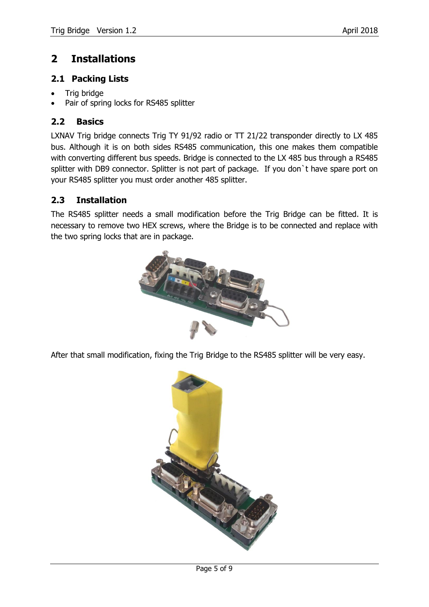#### <span id="page-4-0"></span>**2 Installations**

#### <span id="page-4-1"></span>**2.1 Packing Lists**

- Trig bridge
- <span id="page-4-2"></span>Pair of spring locks for RS485 splitter

#### **2.2 Basics**

LXNAV Trig bridge connects Trig TY 91/92 radio or TT 21/22 transponder directly to LX 485 bus. Although it is on both sides RS485 communication, this one makes them compatible with converting different bus speeds. Bridge is connected to the LX 485 bus through a RS485 splitter with DB9 connector. Splitter is not part of package. If you don't have spare port on your RS485 splitter you must order another 485 splitter.

#### <span id="page-4-3"></span>**2.3 Installation**

The RS485 splitter needs a small modification before the Trig Bridge can be fitted. It is necessary to remove two HEX screws, where the Bridge is to be connected and replace with the two spring locks that are in package.



After that small modification, fixing the Trig Bridge to the RS485 splitter will be very easy.

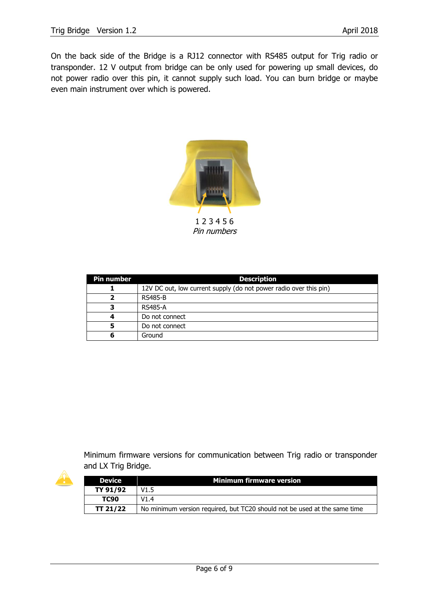On the back side of the Bridge is a RJ12 connector with RS485 output for Trig radio or transponder. 12 V output from bridge can be only used for powering up small devices, do not power radio over this pin, it cannot supply such load. You can burn bridge or maybe even main instrument over which is powered.



Pin numbers

| <b>Pin number</b> | <b>Description</b>                                                |
|-------------------|-------------------------------------------------------------------|
|                   | 12V DC out, low current supply (do not power radio over this pin) |
| 7                 | <b>RS485-B</b>                                                    |
| з                 | <b>RS485-A</b>                                                    |
| 4                 | Do not connect                                                    |
| 5                 | Do not connect                                                    |
| 6                 | Ground                                                            |

Minimum firmware versions for communication between Trig radio or transponder and LX Trig Bridge.

| <b>Device</b> | <b>Minimum firmware version</b>                                           |
|---------------|---------------------------------------------------------------------------|
| TY 91/92      | V1.5                                                                      |
| <b>TC90</b>   | V1.4                                                                      |
| TT 21/22      | No minimum version required, but TC20 should not be used at the same time |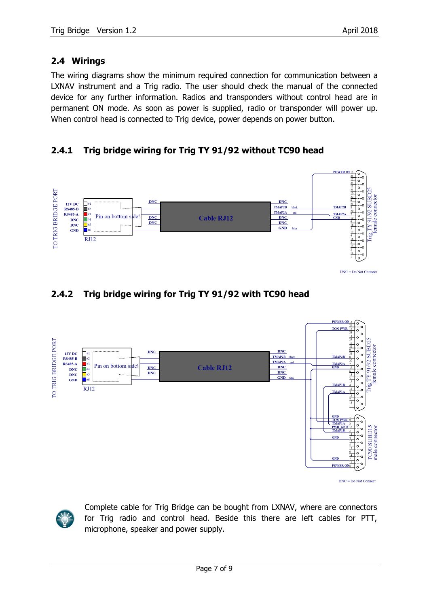#### <span id="page-6-0"></span>**2.4 Wirings**

The wiring diagrams show the minimum required connection for communication between a LXNAV instrument and a Trig radio. The user should check the manual of the connected device for any further information. Radios and transponders without control head are in permanent ON mode. As soon as power is supplied, radio or transponder will power up. When control head is connected to Trig device, power depends on power button.

#### <span id="page-6-1"></span>**2.4.1 Trig bridge wiring for Trig TY 91/92 without TC90 head**



#### <span id="page-6-2"></span>**2.4.2 Trig bridge wiring for Trig TY 91/92 with TC90 head**





Complete cable for Trig Bridge can be bought from LXNAV, where are connectors for Trig radio and control head. Beside this there are left cables for PTT, microphone, speaker and power supply.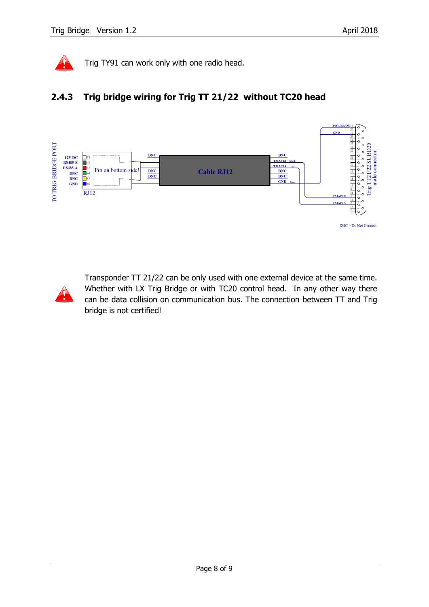

Trig TY91 can work only with one radio head.

#### <span id="page-7-0"></span>**2.4.3 Trig bridge wiring for Trig TT 21/22 without TC20 head**





Transponder TT 21/22 can be only used with one external device at the same time. Whether with LX Trig Bridge or with TC20 control head. In any other way there can be data collision on communication bus. The connection between TT and Trig bridge is not certified!